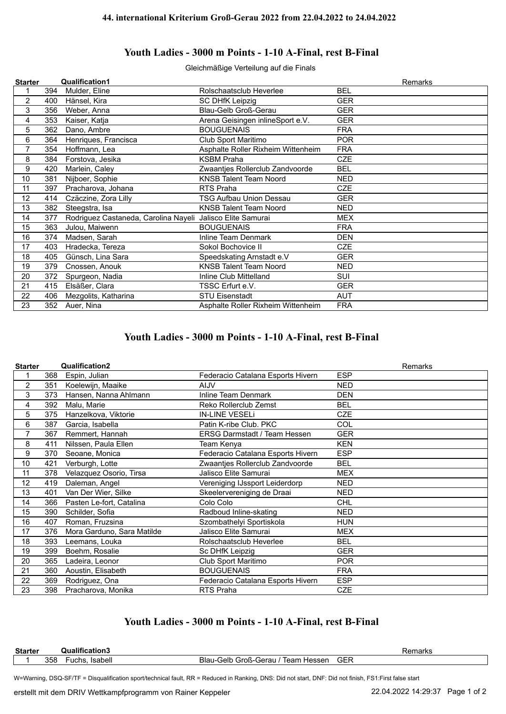## **Youth Ladies - 3000 m Points - 1-10 A-Final, rest B-Final**

Gleichmäßige Verteilung auf die Finals

| Mulder, Eline<br>Rolschaatsclub Heverlee<br><b>BEL</b><br>394<br>$\overline{2}$<br><b>GER</b><br>400<br>Hänsel, Kira<br><b>SC DHfK Leipzig</b><br>3<br><b>Blau-Gelb Groß-Gerau</b><br><b>GER</b><br>356<br>Weber, Anna<br><b>GER</b><br>353<br>Kaiser, Katja<br>Arena Geisingen inlineSport e.V.<br>4<br>5<br><b>BOUGUENAIS</b><br>362<br>Dano, Ambre<br><b>FRA</b><br>6<br>Henriques, Francisca<br>Club Sport Maritimo<br><b>POR</b><br>364<br>$\overline{7}$<br><b>FRA</b><br>354<br>Hoffmann, Lea<br>Asphalte Roller Rixheim Wittenheim<br>8<br><b>KSBM Praha</b><br><b>CZE</b><br>Forstova, Jesika<br>384<br>9<br>Marlein, Caley<br>420<br>Zwaantjes Rollerclub Zandvoorde<br><b>BEL</b><br>Nijboer, Sophie<br>10<br>381<br><b>KNSB Talent Team Noord</b><br><b>NED</b><br><b>CZE</b><br>11<br>RTS Praha<br>397<br>Pracharova, Johana<br>12<br>Czäczine, Zora Lilly<br>TSG Aufbau Union Dessau<br><b>GER</b><br>414<br>13<br>382<br>Steegstra, Isa<br><b>KNSB Talent Team Noord</b><br>NED.<br>Rodriguez Castaneda, Carolina Nayeli<br>Jalisco Elite Samurai<br>14<br>377<br><b>MEX</b><br>15<br>363<br>Julou, Maiwenn<br><b>BOUGUENAIS</b><br><b>FRA</b><br>16<br>374<br>Madsen, Sarah<br>Inline Team Denmark<br><b>DEN</b><br>17<br>403<br>Sokol Bochovice II<br><b>CZE</b><br>Hradecka, Tereza<br>18<br>Günsch, Lina Sara<br><b>GER</b><br>405<br>Speedskating Arnstadt e.V<br><b>KNSB Talent Team Noord</b><br>19<br><b>NED</b><br>379<br>Cnossen, Anouk<br>Inline Club Mittelland<br>SUI<br>20<br>372<br>Spurgeon, Nadia<br>21<br>Elsäßer, Clara<br>TSSC Erfurt e.V.<br><b>GER</b><br>415<br>Mezgolits, Katharina<br><b>STU Eisenstadt</b><br>AUT<br>22<br>406<br>23<br>352<br><b>FRA</b><br>Auer, Nina<br>Asphalte Roller Rixheim Wittenheim | <b>Starter</b> | <b>Qualification1</b> | Remarks |
|--------------------------------------------------------------------------------------------------------------------------------------------------------------------------------------------------------------------------------------------------------------------------------------------------------------------------------------------------------------------------------------------------------------------------------------------------------------------------------------------------------------------------------------------------------------------------------------------------------------------------------------------------------------------------------------------------------------------------------------------------------------------------------------------------------------------------------------------------------------------------------------------------------------------------------------------------------------------------------------------------------------------------------------------------------------------------------------------------------------------------------------------------------------------------------------------------------------------------------------------------------------------------------------------------------------------------------------------------------------------------------------------------------------------------------------------------------------------------------------------------------------------------------------------------------------------------------------------------------------------------------------------------------------------------------------------------------------------------------------------------------|----------------|-----------------------|---------|
|                                                                                                                                                                                                                                                                                                                                                                                                                                                                                                                                                                                                                                                                                                                                                                                                                                                                                                                                                                                                                                                                                                                                                                                                                                                                                                                                                                                                                                                                                                                                                                                                                                                                                                                                                        |                |                       |         |
|                                                                                                                                                                                                                                                                                                                                                                                                                                                                                                                                                                                                                                                                                                                                                                                                                                                                                                                                                                                                                                                                                                                                                                                                                                                                                                                                                                                                                                                                                                                                                                                                                                                                                                                                                        |                |                       |         |
|                                                                                                                                                                                                                                                                                                                                                                                                                                                                                                                                                                                                                                                                                                                                                                                                                                                                                                                                                                                                                                                                                                                                                                                                                                                                                                                                                                                                                                                                                                                                                                                                                                                                                                                                                        |                |                       |         |
|                                                                                                                                                                                                                                                                                                                                                                                                                                                                                                                                                                                                                                                                                                                                                                                                                                                                                                                                                                                                                                                                                                                                                                                                                                                                                                                                                                                                                                                                                                                                                                                                                                                                                                                                                        |                |                       |         |
|                                                                                                                                                                                                                                                                                                                                                                                                                                                                                                                                                                                                                                                                                                                                                                                                                                                                                                                                                                                                                                                                                                                                                                                                                                                                                                                                                                                                                                                                                                                                                                                                                                                                                                                                                        |                |                       |         |
|                                                                                                                                                                                                                                                                                                                                                                                                                                                                                                                                                                                                                                                                                                                                                                                                                                                                                                                                                                                                                                                                                                                                                                                                                                                                                                                                                                                                                                                                                                                                                                                                                                                                                                                                                        |                |                       |         |
|                                                                                                                                                                                                                                                                                                                                                                                                                                                                                                                                                                                                                                                                                                                                                                                                                                                                                                                                                                                                                                                                                                                                                                                                                                                                                                                                                                                                                                                                                                                                                                                                                                                                                                                                                        |                |                       |         |
|                                                                                                                                                                                                                                                                                                                                                                                                                                                                                                                                                                                                                                                                                                                                                                                                                                                                                                                                                                                                                                                                                                                                                                                                                                                                                                                                                                                                                                                                                                                                                                                                                                                                                                                                                        |                |                       |         |
|                                                                                                                                                                                                                                                                                                                                                                                                                                                                                                                                                                                                                                                                                                                                                                                                                                                                                                                                                                                                                                                                                                                                                                                                                                                                                                                                                                                                                                                                                                                                                                                                                                                                                                                                                        |                |                       |         |
|                                                                                                                                                                                                                                                                                                                                                                                                                                                                                                                                                                                                                                                                                                                                                                                                                                                                                                                                                                                                                                                                                                                                                                                                                                                                                                                                                                                                                                                                                                                                                                                                                                                                                                                                                        |                |                       |         |
|                                                                                                                                                                                                                                                                                                                                                                                                                                                                                                                                                                                                                                                                                                                                                                                                                                                                                                                                                                                                                                                                                                                                                                                                                                                                                                                                                                                                                                                                                                                                                                                                                                                                                                                                                        |                |                       |         |
|                                                                                                                                                                                                                                                                                                                                                                                                                                                                                                                                                                                                                                                                                                                                                                                                                                                                                                                                                                                                                                                                                                                                                                                                                                                                                                                                                                                                                                                                                                                                                                                                                                                                                                                                                        |                |                       |         |
|                                                                                                                                                                                                                                                                                                                                                                                                                                                                                                                                                                                                                                                                                                                                                                                                                                                                                                                                                                                                                                                                                                                                                                                                                                                                                                                                                                                                                                                                                                                                                                                                                                                                                                                                                        |                |                       |         |
|                                                                                                                                                                                                                                                                                                                                                                                                                                                                                                                                                                                                                                                                                                                                                                                                                                                                                                                                                                                                                                                                                                                                                                                                                                                                                                                                                                                                                                                                                                                                                                                                                                                                                                                                                        |                |                       |         |
|                                                                                                                                                                                                                                                                                                                                                                                                                                                                                                                                                                                                                                                                                                                                                                                                                                                                                                                                                                                                                                                                                                                                                                                                                                                                                                                                                                                                                                                                                                                                                                                                                                                                                                                                                        |                |                       |         |
|                                                                                                                                                                                                                                                                                                                                                                                                                                                                                                                                                                                                                                                                                                                                                                                                                                                                                                                                                                                                                                                                                                                                                                                                                                                                                                                                                                                                                                                                                                                                                                                                                                                                                                                                                        |                |                       |         |
|                                                                                                                                                                                                                                                                                                                                                                                                                                                                                                                                                                                                                                                                                                                                                                                                                                                                                                                                                                                                                                                                                                                                                                                                                                                                                                                                                                                                                                                                                                                                                                                                                                                                                                                                                        |                |                       |         |
|                                                                                                                                                                                                                                                                                                                                                                                                                                                                                                                                                                                                                                                                                                                                                                                                                                                                                                                                                                                                                                                                                                                                                                                                                                                                                                                                                                                                                                                                                                                                                                                                                                                                                                                                                        |                |                       |         |
|                                                                                                                                                                                                                                                                                                                                                                                                                                                                                                                                                                                                                                                                                                                                                                                                                                                                                                                                                                                                                                                                                                                                                                                                                                                                                                                                                                                                                                                                                                                                                                                                                                                                                                                                                        |                |                       |         |
|                                                                                                                                                                                                                                                                                                                                                                                                                                                                                                                                                                                                                                                                                                                                                                                                                                                                                                                                                                                                                                                                                                                                                                                                                                                                                                                                                                                                                                                                                                                                                                                                                                                                                                                                                        |                |                       |         |
|                                                                                                                                                                                                                                                                                                                                                                                                                                                                                                                                                                                                                                                                                                                                                                                                                                                                                                                                                                                                                                                                                                                                                                                                                                                                                                                                                                                                                                                                                                                                                                                                                                                                                                                                                        |                |                       |         |
|                                                                                                                                                                                                                                                                                                                                                                                                                                                                                                                                                                                                                                                                                                                                                                                                                                                                                                                                                                                                                                                                                                                                                                                                                                                                                                                                                                                                                                                                                                                                                                                                                                                                                                                                                        |                |                       |         |
|                                                                                                                                                                                                                                                                                                                                                                                                                                                                                                                                                                                                                                                                                                                                                                                                                                                                                                                                                                                                                                                                                                                                                                                                                                                                                                                                                                                                                                                                                                                                                                                                                                                                                                                                                        |                |                       |         |

## **Youth Ladies - 3000 m Points - 1-10 A-Final, rest B-Final**

| <b>Starter</b> |     | Qualification2             |                                     | <b>Remarks</b> |
|----------------|-----|----------------------------|-------------------------------------|----------------|
|                | 368 | Espin, Julian              | Federacio Catalana Esports Hivern   | <b>ESP</b>     |
| $\overline{2}$ | 351 | Koelewijn, Maaike          | <b>AIJV</b>                         | <b>NED</b>     |
| 3              | 373 | Hansen, Nanna Ahlmann      | Inline Team Denmark                 | <b>DEN</b>     |
| 4              | 392 | Malu, Marie                | Reko Rollerclub Zemst               | <b>BEL</b>     |
| 5              | 375 | Hanzelkova, Viktorie       | <b>IN-LINE VESELI</b>               | <b>CZE</b>     |
| 6              | 387 | Garcia, Isabella           | Patin K-ribe Club, PKC              | COL            |
| 7              | 367 | Remmert, Hannah            | <b>ERSG Darmstadt / Team Hessen</b> | <b>GER</b>     |
| 8              | 411 | Nilssen, Paula Ellen       | Team Kenya                          | <b>KEN</b>     |
| 9              | 370 | Seoane, Monica             | Federacio Catalana Esports Hivern   | <b>ESP</b>     |
| 10             | 421 | Verburgh, Lotte            | Zwaantjes Rollerclub Zandvoorde     | <b>BEL</b>     |
| 11             | 378 | Velazquez Osorio, Tirsa    | Jalisco Elite Samurai               | <b>MEX</b>     |
| 12             | 419 | Daleman, Angel             | Vereniging IJssport Leiderdorp      | <b>NED</b>     |
| 13             | 401 | Van Der Wier, Silke        | Skeelervereniging de Draai          | <b>NED</b>     |
| 14             | 366 | Pasten Le-fort, Catalina   | Colo Colo                           | <b>CHL</b>     |
| 15             | 390 | Schilder, Sofia            | Radboud Inline-skating              | <b>NED</b>     |
| 16             | 407 | Roman, Fruzsina            | Szombathelyi Sportiskola            | <b>HUN</b>     |
| 17             | 376 | Mora Garduno, Sara Matilde | Jalisco Elite Samurai               | <b>MEX</b>     |
| 18             | 393 | Leemans, Louka             | Rolschaatsclub Heverlee             | <b>BEL</b>     |
| 19             | 399 | Boehm, Rosalie             | Sc DHfK Leipzig                     | <b>GER</b>     |
| 20             | 365 | Ladeira, Leonor            | Club Sport Maritimo                 | <b>POR</b>     |
| 21             | 360 | Aoustin, Elisabeth         | <b>BOUGUENAIS</b>                   | <b>FRA</b>     |
| 22             | 369 | Rodriguez, Ona             | Federacio Catalana Esports Hivern   | <b>ESP</b>     |
| 23             | 398 | Pracharova, Monika         | RTS Praha                           | <b>CZE</b>     |

## **Youth Ladies - 3000 m Points - 1-10 A-Final, rest B-Final**

| <b>Starter</b> |     | Qualification3   |                                        |     | iai NS |
|----------------|-----|------------------|----------------------------------------|-----|--------|
|                | 358 | Isabell<br>∙uchs | Blau-Gelb Groß-Gerau<br>Team<br>Hessen | GER |        |
|                |     |                  |                                        |     |        |

W=Warning, DSQ-SF/TF = Disqualification sport/technical fault, RR = Reduced in Ranking, DNS: Did not start, DNF: Did not finish, FS1:First false start